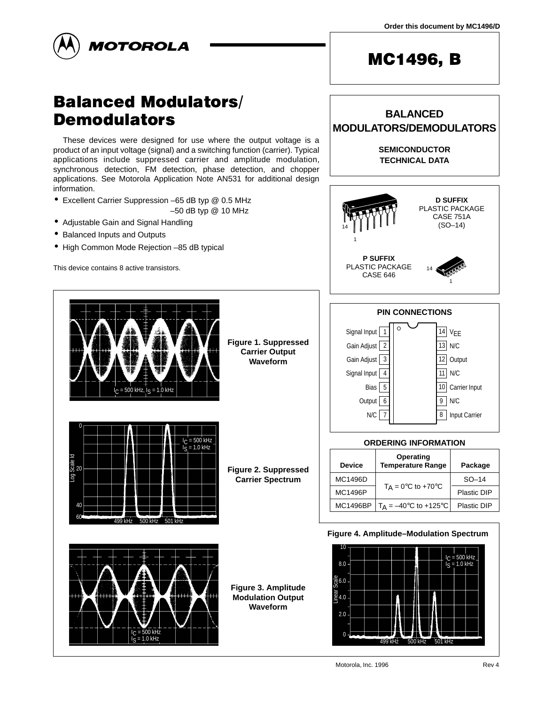

# **Balanced Modulators/ Demodulators**

These devices were designed for use where the output voltage is a product of an input voltage (signal) and a switching function (carrier). Typical applications include suppressed carrier and amplitude modulation, synchronous detection, FM detection, phase detection, and chopper applications. See Motorola Application Note AN531 for additional design information.

• Excellent Carrier Suppression –65 dB typ @ 0.5 MHz

 $-50$  dB typ @ 10 MHz

**Figure 1. Suppressed Carrier Output Waveform**

**Figure 2. Suppressed Carrier Spectrum**

- Adjustable Gain and Signal Handling
- Balanced Inputs and Outputs
- High Common Mode Rejection –85 dB typical

This device contains 8 active transistors.

I

60 40

 $\overline{2}$ 

Log Scale Id

0

 $500$  kHz,  $I_S = 1.0$  kH

499 kHz 500 kHz 501 kHz

I  $C = 500$  kHz I <u>S = 1</u>.0 kHz

 $IC = 500$  kHz l<sub>S.</sub> = 1.0 kHz

**BALANCED MODULATORS/DEMODULATORS**

> **SEMICONDUCTOR TECHNICAL DATA**





## **ORDERING INFORMATION**

| <b>Device</b>   | Operating<br><b>Temperature Range</b> | Package     |
|-----------------|---------------------------------------|-------------|
| <b>MC1496D</b>  |                                       | $SO-14$     |
| MC1496P         | $T_A = 0^\circ C$ to +70 $^\circ C$   | Plastic DIP |
| <b>MC1496BP</b> | $T_A = -40$ °C to +125°C              | Plastic DIP |

## **Figure 4. Amplitude–Modulation Spectrum**





**MOTOROLA ANALOG IC DEVICE DATA 1** © Motorola, Inc. 1996 Rev 4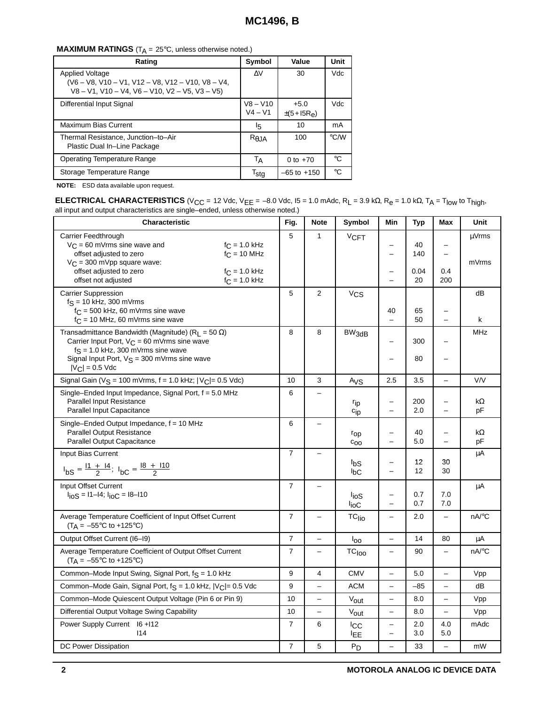## **MAXIMUM RATINGS**  $(T_A = 25^\circ C$ , unless otherwise noted.)

| Rating                                                                                                                                  | Symbol                  | Value                       | Unit          |  |
|-----------------------------------------------------------------------------------------------------------------------------------------|-------------------------|-----------------------------|---------------|--|
| Applied Voltage<br>$(V6 - V8, V10 - V1, V12 - V8, V12 - V10, V8 - V4,$<br>$V8 - V1$ , $V10 - V4$ , $V6 - V10$ , $V2 - V5$ , $V3 - V5$ ) | $\Delta V$              | 30                          | Vdc           |  |
| Differential Input Signal                                                                                                               | $V8 - V10$<br>$V4 - V1$ | $+5.0$<br>$\pm (5 + 15R_e)$ | Vdc           |  |
| Maximum Bias Current                                                                                                                    | 15                      | 10                          | mA            |  |
| Thermal Resistance, Junction-to-Air<br>Plastic Dual In-Line Package                                                                     | $R_{\theta}$ JA         | 100                         | $\degree$ C/W |  |
| Operating Temperature Range                                                                                                             | Тд                      | 0 to $+70$                  | °C            |  |
| Storage Temperature Range                                                                                                               | $T_{\text{stg}}$        | $-65$ to $+150$             | °C            |  |

**NOTE:** ESD data available upon request.

**ELECTRICAL CHARACTERISTICS** (V<sub>CC</sub> = 12 Vdc, V<sub>EE</sub> = –8.0 Vdc, I5 = 1.0 mAdc, R<sub>L</sub> = 3.9 kΩ, R<sub>e</sub> = 1.0 kΩ, T<sub>A</sub> = T<sub>low</sub> to T<sub>high</sub>, all input and output characteristics are single–ended, unless otherwise noted.)

| Characteristic                                                                                                                                               |                | <b>Note</b>              | Symbol                                | Min                                                  | Typ        | Max                           | Unit                |
|--------------------------------------------------------------------------------------------------------------------------------------------------------------|----------------|--------------------------|---------------------------------------|------------------------------------------------------|------------|-------------------------------|---------------------|
| Carrier Feedthrough<br>$V_{\rm C}$ = 60 mVrms sine wave and<br>$f_C = 1.0$ kHz<br>$f_C = 10$ MHz<br>offset adjusted to zero<br>$V_C$ = 300 mVpp square wave: | 5              | 1                        | <b>VCFT</b>                           | -                                                    | 40<br>140  | $\overline{a}$                | µVrms<br>mVrms      |
| offset adjusted to zero<br>$f_{\text{C}} = 1.0$ kHz<br>$f_C = 1.0$ kHz<br>offset not adjusted                                                                |                |                          |                                       | $\overline{\phantom{0}}$                             | 0.04<br>20 | 0.4<br>200                    |                     |
| <b>Carrier Suppression</b><br>$f_S = 10$ kHz, 300 mVrms                                                                                                      | 5              | 2                        | Vcs                                   |                                                      |            |                               | dB                  |
| $f_C = 500$ kHz, 60 mVrms sine wave<br>$f_C = 10$ MHz, 60 mVrms sine wave                                                                                    |                |                          |                                       | 40<br>$\equiv$                                       | 65<br>50   | -<br>$\overline{\phantom{0}}$ | k                   |
| Transadmittance Bandwidth (Magnitude) ( $R_L$ = 50 $\Omega$ )<br>Carrier Input Port, $V_C = 60$ mVrms sine wave<br>$fs = 1.0$ kHz, 300 mVrms sine wave       | 8              | 8                        | BW <sub>3dB</sub>                     | -                                                    | 300        |                               | MHz                 |
| Signal Input Port, $V_S = 300$ mVrms sine wave<br>$ V_C  = 0.5$ Vdc                                                                                          |                |                          |                                       | $\overline{\phantom{0}}$                             | 80         |                               |                     |
| Signal Gain ( $V_S$ = 100 mVrms, f = 1.0 kHz; $ V_C $ = 0.5 Vdc)                                                                                             | 10             | 3                        | Avs                                   | 2.5                                                  | 3.5        | $\overline{\phantom{0}}$      | V/V                 |
| Single-Ended Input Impedance, Signal Port, f = 5.0 MHz<br><b>Parallel Input Resistance</b><br>Parallel Input Capacitance                                     | 6              |                          | r <sub>ip</sub><br>$c_{\text{ID}}$    | -<br>$\overline{\phantom{0}}$                        | 200<br>2.0 | -<br>$\overline{\phantom{0}}$ | kΩ<br>pF            |
| Single-Ended Output Impedance, $f = 10$ MHz<br><b>Parallel Output Resistance</b><br>Parallel Output Capacitance                                              | 6              | $\overline{\phantom{0}}$ | r <sub>op</sub><br>$c_{OO}$           | $\overline{\phantom{0}}$                             | 40<br>5.0  |                               | kΩ<br>pF            |
| Input Bias Current<br>$I_{\text{bS}} = \frac{11 + 14}{2}$ ; $I_{\text{bC}} = \frac{18 + 110}{2}$                                                             | $\overline{7}$ |                          | <sup>l</sup> bS<br>Iьc                | -<br>$\overline{\phantom{0}}$                        | 12<br>12   | 30<br>30                      | μA                  |
| Input Offset Current<br>$I_{\text{ioS}} = 11 - 14$ ; $I_{\text{ioC}} = 18 - 110$                                                                             | $\overline{7}$ | $\overline{\phantom{0}}$ | $ I_{\text{lo}}S $<br>$I_{\text{IO}}$ | $\overline{\phantom{0}}$<br>$\qquad \qquad -$        | 0.7<br>0.7 | 7.0<br>7.0                    | μA                  |
| Average Temperature Coefficient of Input Offset Current<br>$(T_A = -55^{\circ}C \text{ to } +125^{\circ}C)$                                                  | $\overline{7}$ | $\qquad \qquad -$        | TC <sub>Iio</sub>                     | $\overline{\phantom{0}}$                             | 2.0        | $\overline{\phantom{0}}$      | nA/°C               |
| Output Offset Current (I6-I9)                                                                                                                                | 7              | $\qquad \qquad -$        | $ I_{OO} $                            | $\qquad \qquad -$                                    | 14         | 80                            | μA                  |
| Average Temperature Coefficient of Output Offset Current<br>$(T_A = -55^{\circ}C \text{ to } +125^{\circ}C)$                                                 | $\overline{7}$ | $\overline{\phantom{m}}$ | $ TC_{\text{loo}} $                   | $\qquad \qquad -$                                    | 90         | $\overline{\phantom{0}}$      | $nA$ <sup>o</sup> C |
| Common-Mode Input Swing, Signal Port, f <sub>S</sub> = 1.0 kHz                                                                                               | 9              | $\overline{4}$           | <b>CMV</b>                            | $\overline{\phantom{0}}$                             | 5.0        | $\overline{a}$                | Vpp                 |
| Common-Mode Gain, Signal Port, f <sub>S</sub> = 1.0 kHz,  V <sub>C</sub>  = 0.5 Vdc                                                                          | 9              | $\overline{\phantom{0}}$ | <b>ACM</b>                            | $\qquad \qquad -$                                    | $-85$      | $\overline{\phantom{0}}$      | dB                  |
| Common-Mode Quiescent Output Voltage (Pin 6 or Pin 9)                                                                                                        |                | $\overline{\phantom{0}}$ | Vout                                  | $\qquad \qquad -$                                    | 8.0        |                               | Vpp                 |
| Differential Output Voltage Swing Capability                                                                                                                 | 10             | $\overline{\phantom{0}}$ | Vout                                  | $\overline{\phantom{0}}$                             | 8.0        |                               | Vpp                 |
| Power Supply Current I6 +112<br>114                                                                                                                          | 7              | 6                        | <sub>ICC</sub><br>lEE.                | $\overline{\phantom{0}}$<br>$\overline{\phantom{0}}$ | 2.0<br>3.0 | 4.0<br>5.0                    | mAdc                |
| DC Power Dissipation                                                                                                                                         |                | 5                        | P <sub>D</sub>                        | $\overline{\phantom{0}}$                             | 33         | $\overline{a}$                | mW                  |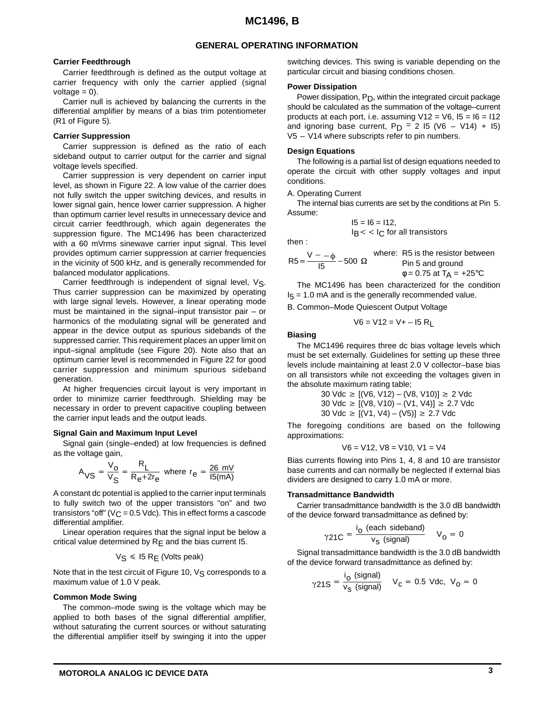## **GENERAL OPERATING INFORMATION**

### **Carrier Feedthrough**

Carrier feedthrough is defined as the output voltage at carrier frequency with only the carrier applied (signal voltage  $= 0$ ).

Carrier null is achieved by balancing the currents in the differential amplifier by means of a bias trim potentiometer (R1 of Figure 5).

### **Carrier Suppression**

Carrier suppression is defined as the ratio of each sideband output to carrier output for the carrier and signal voltage levels specified.

Carrier suppression is very dependent on carrier input level, as shown in Figure 22. A low value of the carrier does not fully switch the upper switching devices, and results in lower signal gain, hence lower carrier suppression. A higher than optimum carrier level results in unnecessary device and circuit carrier feedthrough, which again degenerates the suppression figure. The MC1496 has been characterized with a 60 mVrms sinewave carrier input signal. This level provides optimum carrier suppression at carrier frequencies in the vicinity of 500 kHz, and is generally recommended for balanced modulator applications.

Carrier feedthrough is independent of signal level, VS. Thus carrier suppression can be maximized by operating with large signal levels. However, a linear operating mode must be maintained in the signal–input transistor pair – or harmonics of the modulating signal will be generated and appear in the device output as spurious sidebands of the suppressed carrier. This requirement places an upper limit on input–signal amplitude (see Figure 20). Note also that an optimum carrier level is recommended in Figure 22 for good carrier suppression and minimum spurious sideband generation.

At higher frequencies circuit layout is very important in order to minimize carrier feedthrough. Shielding may be necessary in order to prevent capacitive coupling between the carrier input leads and the output leads.

## **Signal Gain and Maximum Input Level**

Signal gain (single–ended) at low frequencies is defined as the voltage gain,

$$
A_{\text{VS}} = \frac{V_{\text{o}}}{V_{\text{S}}} = \frac{R_{\text{L}}}{R_{\text{e}} + 2r_{\text{e}}}
$$
 where  $r_{\text{e}} = \frac{26 \text{ mV}}{15 \text{ (mA)}}$ 

A constant dc potential is applied to the carrier input terminals to fully switch two of the upper transistors "on" and two transistors "off" ( $V<sub>C</sub>$  = 0.5 Vdc). This in effect forms a cascode differential amplifier.

Linear operation requires that the signal input be below a critical value determined by  $R_E$  and the bias current I5.

$$
V_S \leq 15 \text{ Re (Volts peak)}
$$

Note that in the test circuit of Figure 10, VS corresponds to a maximum value of 1.0 V peak.

## **Common Mode Swing**

The common–mode swing is the voltage which may be applied to both bases of the signal differential amplifier, without saturating the current sources or without saturating the differential amplifier itself by swinging it into the upper switching devices. This swing is variable depending on the particular circuit and biasing conditions chosen.

### **Power Dissipation**

Power dissipation, PD, within the integrated circuit package should be calculated as the summation of the voltage–current products at each port, i.e. assuming  $V12 = V6$ ,  $I5 = I6 = I12$ and ignoring base current,  $P_D = 2$  15 (V6 – V14) + 15) V5 – V14 where subscripts refer to pin numbers.

## **Design Equations**

The following is a partial list of design equations needed to operate the circuit with other supply voltages and input conditions.

#### A. Operating Current

The internal bias currents are set by the conditions at Pin 5. Assume:

$$
15 = 16 = 112,
$$
  

$$
1B < < 1C \text{ for all transistors}
$$

then :

R5 = 
$$
\frac{V - -\phi}{15}
$$
 - 500 Ω  
where: R5 is the resistor between  
Pin 5 and ground  
 $\phi$  = 0.75 at T<sub>A</sub> = +25°C

The MC1496 has been characterized for the condition  $I_5 = 1.0$  mA and is the generally recommended value.

B. Common–Mode Quiescent Output Voltage

$$
V6 = V12 = V + - 15 R_L
$$

## **Biasing**

The MC1496 requires three dc bias voltage levels which must be set externally. Guidelines for setting up these three levels include maintaining at least 2.0 V collector–base bias on all transistors while not exceeding the voltages given in the absolute maximum rating table;

30 Vdc [(V6, V12) – (V8, V10)] 2 Vdc 30 Vdc [(V8, V10) – (V1, V4)] 2.7 Vdc 30 Vdc [(V1, V4) – (V5)] 2.7 Vdc

The foregoing conditions are based on the following approximations:

$$
V6 = V12
$$
,  $V8 = V10$ ,  $V1 = V4$ 

Bias currents flowing into Pins 1, 4, 8 and 10 are transistor base currents and can normally be neglected if external bias dividers are designed to carry 1.0 mA or more.

### **Transadmittance Bandwidth**

Carrier transadmittance bandwidth is the 3.0 dB bandwidth of the device forward transadmittance as defined by:

$$
\gamma 21C = \frac{i_0 \text{ (each sideband)}}{v_s \text{ (signal)}}
$$
  $V_0 = 0$ 

Signal transadmittance bandwidth is the 3.0 dB bandwidth of the device forward transadmittance as defined by:

$$
\gamma 21S = \frac{i_{o} \text{ (signal)}}{v_{s} \text{ (signal)}}
$$
  $V_{c} = 0.5 \text{ Vdc}, V_{o} = 0$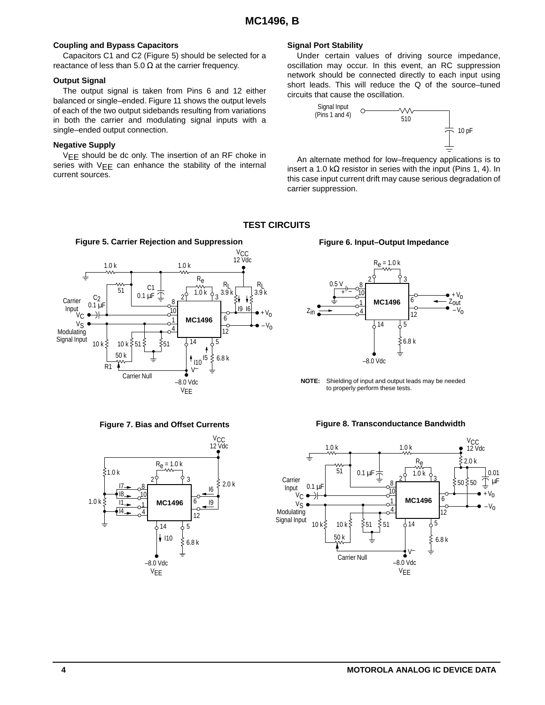## **Coupling and Bypass Capacitors**

Capacitors C1 and C2 (Figure 5) should be selected for a reactance of less than 5.0  $\Omega$  at the carrier frequency.

## **Output Signal**

The output signal is taken from Pins 6 and 12 either balanced or single–ended. Figure 11 shows the output levels of each of the two output sidebands resulting from variations in both the carrier and modulating signal inputs with a single–ended output connection.

## **Negative Supply**

VEE should be dc only. The insertion of an RF choke in series with VEE can enhance the stability of the internal current sources.

## **Signal Port Stability**

Under certain values of driving source impedance, oscillation may occur. In this event, an RC suppression network should be connected directly to each input using short leads. This will reduce the Q of the source–tuned circuits that cause the oscillation.



An alternate method for low–frequency applications is to insert a 1.0 kΩ resistor in series with the input (Pins 1, 4). In this case input current drift may cause serious degradation of carrier suppression.







**NOTE:** Shielding of input and output leads may be needed to properly perform these tests.



VEE

## **Figure 7. Bias and Offset Currents Figure 8. Transconductance Bandwidth**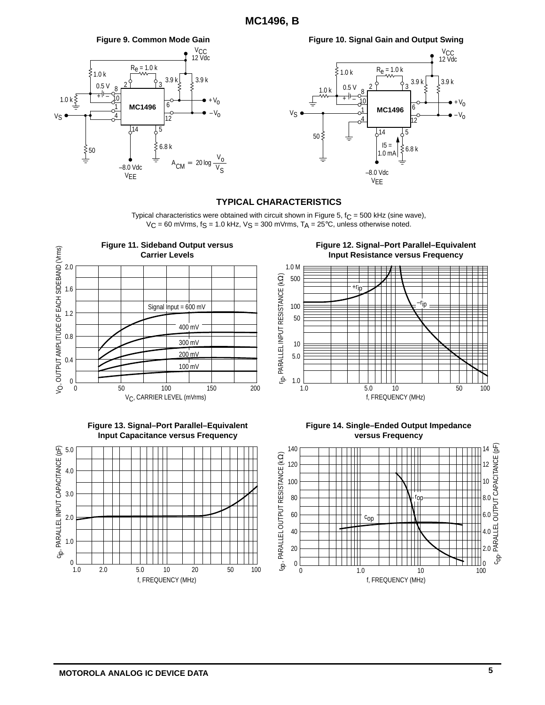





## **TYPICAL CHARACTERISTICS**

Typical characteristics were obtained with circuit shown in Figure 5,  $f_C = 500$  kHz (sine wave),  $VC = 60$  mVrms,  $f_S = 1.0$  kHz,  $V_S = 300$  mVrms,  $T_A = 25^{\circ}$ C, unless otherwise noted.



**Figure 13. Signal–Port Parallel–Equivalent Input Capacitance versus Frequency**



**Figure 12. Signal–Port Parallel–Equivalent Input Resistance versus Frequency**



**Figure 14. Single–Ended Output Impedance versus Frequency**

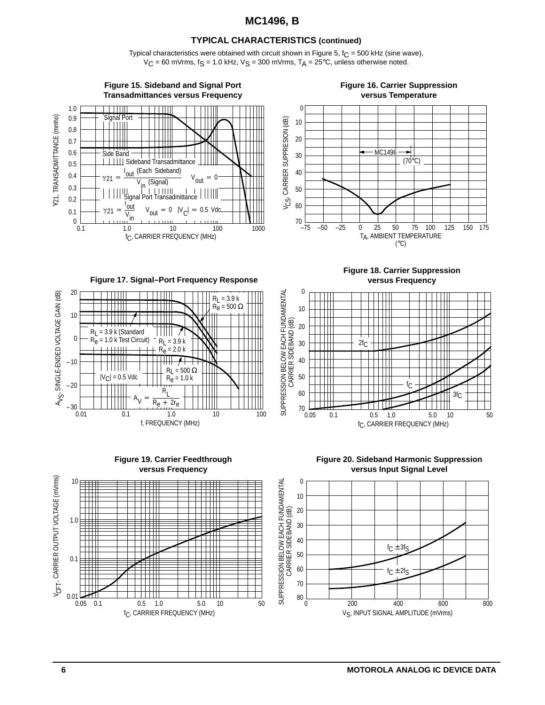## **TYPICAL CHARACTERISTICS (continued)**

Typical characteristics were obtained with circuit shown in Figure 5,  $f_C = 500$  kHz (sine wave),  $VC = 60$  mVrms,  $f_S = 1.0$  kHz,  $V_S = 300$  mVrms,  $T_A = 25^{\circ}C$ , unless otherwise noted.

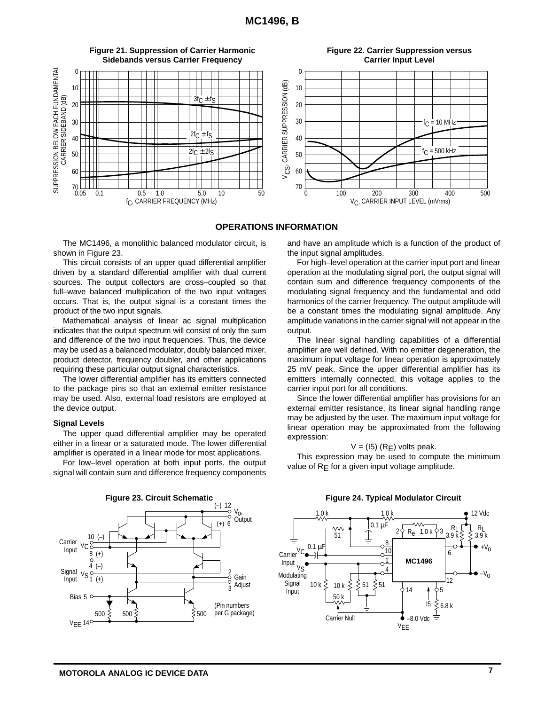

## **OPERATIONS INFORMATION**

The MC1496, a monolithic balanced modulator circuit, is shown in Figure 23.

This circuit consists of an upper quad differential amplifier driven by a standard differential amplifier with dual current sources. The output collectors are cross–coupled so that full–wave balanced multiplication of the two input voltages occurs. That is, the output signal is a constant times the product of the two input signals.

Mathematical analysis of linear ac signal multiplication indicates that the output spectrum will consist of only the sum and difference of the two input frequencies. Thus, the device may be used as a balanced modulator, doubly balanced mixer, product detector, frequency doubler, and other applications requiring these particular output signal characteristics.

The lower differential amplifier has its emitters connected to the package pins so that an external emitter resistance may be used. Also, external load resistors are employed at the device output.

## **Signal Levels**

The upper quad differential amplifier may be operated either in a linear or a saturated mode. The lower differential amplifier is operated in a linear mode for most applications.

For low–level operation at both input ports, the output signal will contain sum and difference frequency components and have an amplitude which is a function of the product of the input signal amplitudes.

For high–level operation at the carrier input port and linear operation at the modulating signal port, the output signal will contain sum and difference frequency components of the modulating signal frequency and the fundamental and odd harmonics of the carrier frequency. The output amplitude will be a constant times the modulating signal amplitude. Any amplitude variations in the carrier signal will not appear in the output.

The linear signal handling capabilities of a differential amplifier are well defined. With no emitter degeneration, the maximum input voltage for linear operation is approximately 25 mV peak. Since the upper differential amplifier has its emitters internally connected, this voltage applies to the carrier input port for all conditions.

Since the lower differential amplifier has provisions for an external emitter resistance, its linear signal handling range may be adjusted by the user. The maximum input voltage for linear operation may be approximated from the following expression:

## $V = (15)$  (R<sub>F</sub>) volts peak.

This expression may be used to compute the minimum value of  $R_E$  for a given input voltage amplitude.



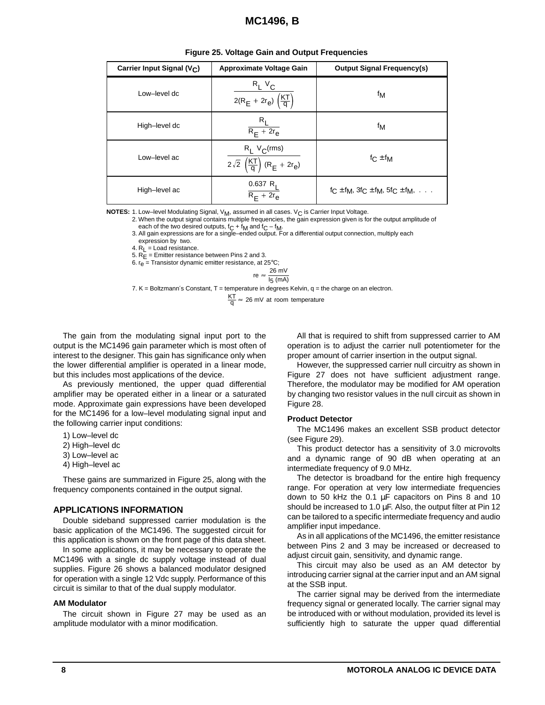| Carrier Input Signal (V <sub>C</sub> ) | <b>Approximate Voltage Gain</b>                                           | <b>Output Signal Frequency(s)</b>                 |
|----------------------------------------|---------------------------------------------------------------------------|---------------------------------------------------|
| Low-level dc                           | $R_L V_C$<br>$\sqrt{2(R_E + 2r_e)\left(\frac{KT}{q}\right)}$              | fм                                                |
| High-level dc                          | $R_{L}$<br>$R_F + 2r_e$                                                   | fм                                                |
| Low-level ac                           | $R_L V_C$ (rms)<br>$2\sqrt{2} \left(\frac{KT}{q}\right) (R_{E} + 2r_{e})$ | $fC \pm fM$                                       |
| High-level ac                          | 0.637 $R_L$<br>$R_F + 2r_e$                                               | $f_C \pm f_M$ , 3f $C \pm f_M$ , 5f $C \pm f_M$ , |

## **Figure 25. Voltage Gain and Output Frequencies**

**NOTES:** 1. Low–level Modulating Signal, V<sub>M</sub>, assumed in all cases. V<sub>C</sub> is Carrier Input Voltage.

2. When the output signal contains multiple frequencies, the gain expression given is for the output amplitude of

each of the two desired outputs,  $f_C + f_M$  and  $f_C - f_M$ .

3. All gain expressions are for a single–ended output. For a differential output connection, multiply each

expression by two.

4.  $R_L$  = Load resistance.

5.  $R_{\text{E}}$  = Emitter resistance between Pins 2 and 3.

6.  $r_{\text{e}}$  = Transistor dynamic emitter resistance, at 25°C;

$$
\text{re} \approx \frac{26 \text{ mV}}{I_5 \text{ (mA)}}
$$

 $7. K =$  Boltzmann's Constant, T = temperature in degrees Kelvin,  $q =$  the charge on an electron.

KT  $\frac{\mathcal{N}I}{q} \approx 26$  mV at room temperature

The gain from the modulating signal input port to the output is the MC1496 gain parameter which is most often of interest to the designer. This gain has significance only when the lower differential amplifier is operated in a linear mode, but this includes most applications of the device.

As previously mentioned, the upper quad differential amplifier may be operated either in a linear or a saturated mode. Approximate gain expressions have been developed for the MC1496 for a low–level modulating signal input and the following carrier input conditions:

- 1) Low–level dc
- 2) High–level dc
- 3) Low–level ac
- 4) High–level ac

These gains are summarized in Figure 25, along with the frequency components contained in the output signal.

## **APPLICATIONS INFORMATION**

Double sideband suppressed carrier modulation is the basic application of the MC1496. The suggested circuit for this application is shown on the front page of this data sheet.

In some applications, it may be necessary to operate the MC1496 with a single dc supply voltage instead of dual supplies. Figure 26 shows a balanced modulator designed for operation with a single 12 Vdc supply. Performance of this circuit is similar to that of the dual supply modulator.

## **AM Modulator**

The circuit shown in Figure 27 may be used as an amplitude modulator with a minor modification.

All that is required to shift from suppressed carrier to AM operation is to adjust the carrier null potentiometer for the proper amount of carrier insertion in the output signal.

However, the suppressed carrier null circuitry as shown in Figure 27 does not have sufficient adjustment range. Therefore, the modulator may be modified for AM operation by changing two resistor values in the null circuit as shown in Figure 28.

## **Product Detector**

The MC1496 makes an excellent SSB product detector (see Figure 29).

This product detector has a sensitivity of 3.0 microvolts and a dynamic range of 90 dB when operating at an intermediate frequency of 9.0 MHz.

The detector is broadband for the entire high frequency range. For operation at very low intermediate frequencies down to 50 kHz the 0.1  $\mu$ F capacitors on Pins 8 and 10 should be increased to 1.0  $\mu$ F. Also, the output filter at Pin 12 can be tailored to a specific intermediate frequency and audio amplifier input impedance.

As in all applications of the MC1496, the emitter resistance between Pins 2 and 3 may be increased or decreased to adjust circuit gain, sensitivity, and dynamic range.

This circuit may also be used as an AM detector by introducing carrier signal at the carrier input and an AM signal at the SSB input.

The carrier signal may be derived from the intermediate frequency signal or generated locally. The carrier signal may be introduced with or without modulation, provided its level is sufficiently high to saturate the upper quad differential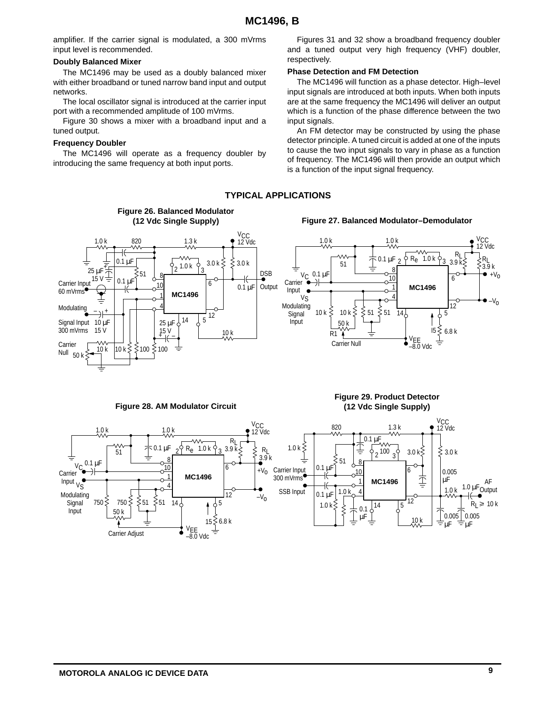amplifier. If the carrier signal is modulated, a 300 mVrms input level is recommended.

## **Doubly Balanced Mixer**

The MC1496 may be used as a doubly balanced mixer with either broadband or tuned narrow band input and output networks.

The local oscillator signal is introduced at the carrier input port with a recommended amplitude of 100 mVrms.

Figure 30 shows a mixer with a broadband input and a tuned output.

## **Frequency Doubler**

The MC1496 will operate as a frequency doubler by introducing the same frequency at both input ports.

**Figure 26. Balanced Modulator**

Figures 31 and 32 show a broadband frequency doubler and a tuned output very high frequency (VHF) doubler, respectively.

## **Phase Detection and FM Detection**

The MC1496 will function as a phase detector. High–level input signals are introduced at both inputs. When both inputs are at the same frequency the MC1496 will deliver an output which is a function of the phase difference between the two input signals.

An FM detector may be constructed by using the phase detector principle. A tuned circuit is added at one of the inputs to cause the two input signals to vary in phase as a function of frequency. The MC1496 will then provide an output which is a function of the input signal frequency.



## **TYPICAL APPLICATIONS**

## **Figure 28. AM Modulator Circuit**

**Figure 29. Product Detector (12 Vdc Single Supply)**

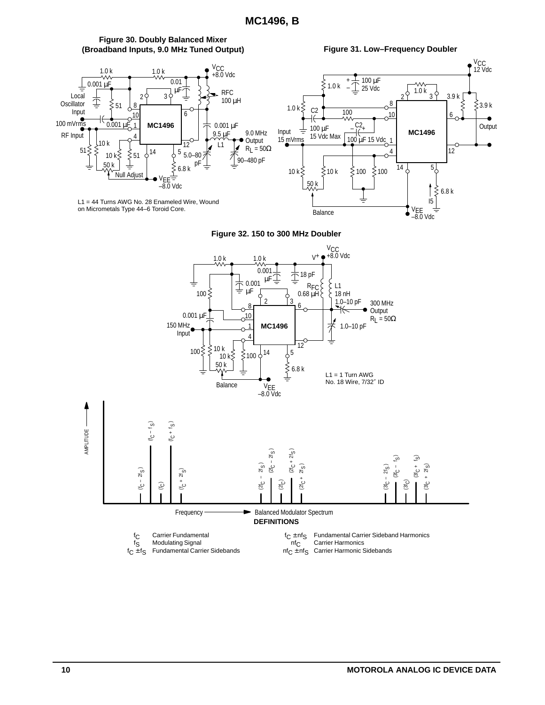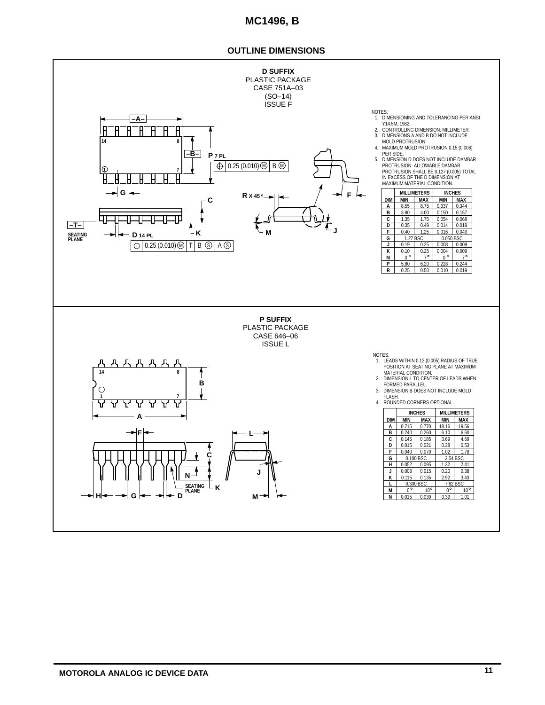## **OUTLINE DIMENSIONS**